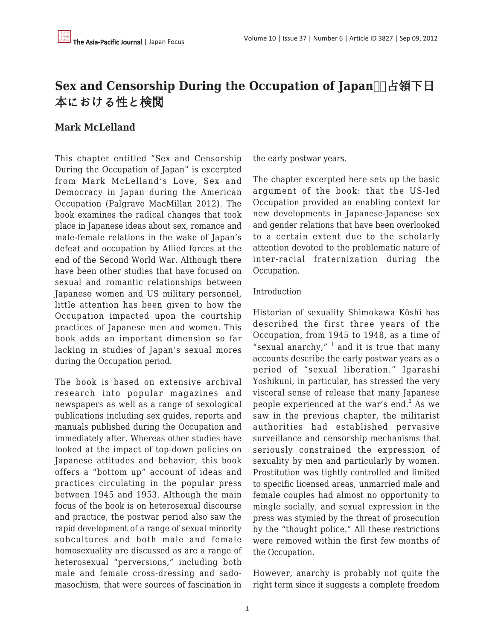# Sex and Censorship During the Occupation of Japan **I** 本における性と検閲

## **Mark McLelland**

This chapter entitled "Sex and Censorship During the Occupation of Japan" is excerpted from Mark McLelland's Love, Sex and Democracy in Japan during the American Occupation (Palgrave MacMillan 2012). The book examines the radical changes that took place in Japanese ideas about sex, romance and male-female relations in the wake of Japan's defeat and occupation by Allied forces at the end of the Second World War. Although there have been other studies that have focused on sexual and romantic relationships between Japanese women and US military personnel, little attention has been given to how the Occupation impacted upon the courtship practices of Japanese men and women. This book adds an important dimension so far lacking in studies of Japan's sexual mores during the Occupation period.

The book is based on extensive archival research into popular magazines and newspapers as well as a range of sexological publications including sex guides, reports and manuals published during the Occupation and immediately after. Whereas other studies have looked at the impact of top-down policies on Japanese attitudes and behavior, this book offers a "bottom up" account of ideas and practices circulating in the popular press between 1945 and 1953. Although the main focus of the book is on heterosexual discourse and practice, the postwar period also saw the rapid development of a range of sexual minority subcultures and both male and female homosexuality are discussed as are a range of heterosexual "perversions," including both male and female cross-dressing and sadomasochism, that were sources of fascination in the early postwar years.

The chapter excerpted here sets up the basic argument of the book: that the US-led Occupation provided an enabling context for new developments in Japanese-Japanese sex and gender relations that have been overlooked to a certain extent due to the scholarly attention devoted to the problematic nature of inter-racial fraternization during the Occupation.

#### Introduction

Historian of sexuality Shimokawa Kōshi has described the first three years of the Occupation, from 1945 to 1948, as a time of "sexual anarchy," $1$  and it is true that many accounts describe the early postwar years as a period of "sexual liberation." Igarashi Yoshikuni, in particular, has stressed the very visceral sense of release that many Japanese people experienced at the war's end. $^2$  As we saw in the previous chapter, the militarist authorities had established pervasive surveillance and censorship mechanisms that seriously constrained the expression of sexuality by men and particularly by women. Prostitution was tightly controlled and limited to specific licensed areas, unmarried male and female couples had almost no opportunity to mingle socially, and sexual expression in the press was stymied by the threat of prosecution by the "thought police." All these restrictions were removed within the first few months of the Occupation.

However, anarchy is probably not quite the right term since it suggests a complete freedom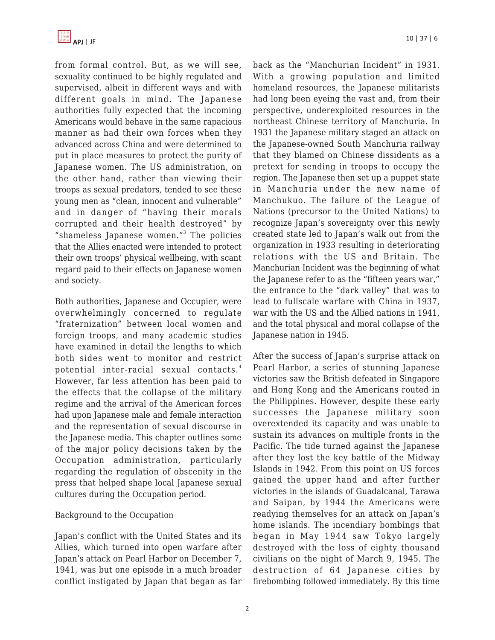

from formal control. But, as we will see, sexuality continued to be highly regulated and supervised, albeit in different ways and with different goals in mind. The Japanese authorities fully expected that the incoming Americans would behave in the same rapacious manner as had their own forces when they advanced across China and were determined to put in place measures to protect the purity of Japanese women. The US administration, on the other hand, rather than viewing their troops as sexual predators, tended to see these young men as "clean, innocent and vulnerable" and in danger of "having their morals corrupted and their health destroyed" by "shameless Japanese women."<sup>3</sup> The policies that the Allies enacted were intended to protect their own troops' physical wellbeing, with scant regard paid to their effects on Japanese women and society.

Both authorities, Japanese and Occupier, were overwhelmingly concerned to regulate "fraternization" between local women and foreign troops, and many academic studies have examined in detail the lengths to which both sides went to monitor and restrict potential inter-racial sexual contacts. <sup>4</sup> However, far less attention has been paid to the effects that the collapse of the military regime and the arrival of the American forces had upon Japanese male and female interaction and the representation of sexual discourse in the Japanese media. This chapter outlines some of the major policy decisions taken by the Occupation administration, particularly regarding the regulation of obscenity in the press that helped shape local Japanese sexual cultures during the Occupation period.

#### Background to the Occupation

Japan's conflict with the United States and its Allies, which turned into open warfare after Japan's attack on Pearl Harbor on December 7, 1941, was but one episode in a much broader conflict instigated by Japan that began as far back as the "Manchurian Incident" in 1931. With a growing population and limited homeland resources, the Japanese militarists had long been eyeing the vast and, from their perspective, underexploited resources in the northeast Chinese territory of Manchuria. In 1931 the Japanese military staged an attack on the Japanese-owned South Manchuria railway that they blamed on Chinese dissidents as a pretext for sending in troops to occupy the region. The Japanese then set up a puppet state in Manchuria under the new name of Manchukuo. The failure of the League of Nations (precursor to the United Nations) to recognize Japan's sovereignty over this newly created state led to Japan's walk out from the organization in 1933 resulting in deteriorating relations with the US and Britain. The Manchurian Incident was the beginning of what the Japanese refer to as the "fifteen years war," the entrance to the "dark valley" that was to lead to fullscale warfare with China in 1937, war with the US and the Allied nations in 1941, and the total physical and moral collapse of the Japanese nation in 1945.

After the success of Japan's surprise attack on Pearl Harbor, a series of stunning Japanese victories saw the British defeated in Singapore and Hong Kong and the Americans routed in the Philippines. However, despite these early successes the Japanese military soon overextended its capacity and was unable to sustain its advances on multiple fronts in the Pacific. The tide turned against the Japanese after they lost the key battle of the Midway Islands in 1942. From this point on US forces gained the upper hand and after further victories in the islands of Guadalcanal, Tarawa and Saipan, by 1944 the Americans were readying themselves for an attack on Japan's home islands. The incendiary bombings that began in May 1944 saw Tokyo largely destroyed with the loss of eighty thousand civilians on the night of March 9, 1945. The destruction of 64 Japanese cities by firebombing followed immediately. By this time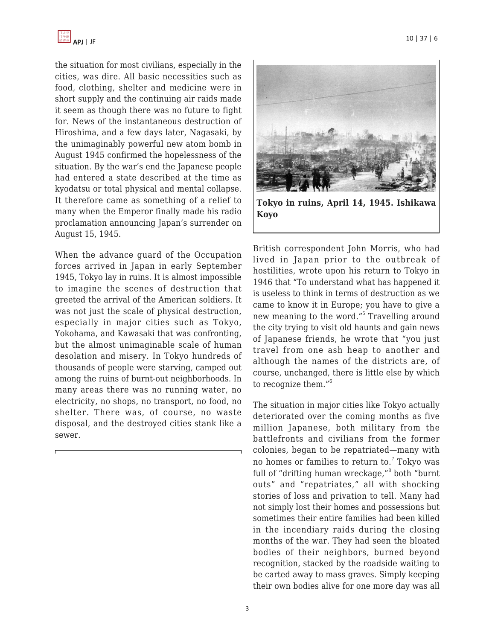

the situation for most civilians, especially in the cities, was dire. All basic necessities such as food, clothing, shelter and medicine were in short supply and the continuing air raids made it seem as though there was no future to fight for. News of the instantaneous destruction of Hiroshima, and a few days later, Nagasaki, by the unimaginably powerful new atom bomb in August 1945 confirmed the hopelessness of the situation. By the war's end the Japanese people had entered a state described at the time as kyodatsu or total physical and mental collapse. It therefore came as something of a relief to many when the Emperor finally made his radio proclamation announcing Japan's surrender on August 15, 1945.

When the advance guard of the Occupation forces arrived in Japan in early September 1945, Tokyo lay in ruins. It is almost impossible to imagine the scenes of destruction that greeted the arrival of the American soldiers. It was not just the scale of physical destruction, especially in major cities such as Tokyo, Yokohama, and Kawasaki that was confronting, but the almost unimaginable scale of human desolation and misery. In Tokyo hundreds of thousands of people were starving, camped out among the ruins of burnt-out neighborhoods. In many areas there was no running water, no electricity, no shops, no transport, no food, no shelter. There was, of course, no waste disposal, and the destroyed cities stank like a sewer.



**Tokyo in ruins, April 14, 1945. Ishikawa Koyo**

British correspondent John Morris, who had lived in Japan prior to the outbreak of hostilities, wrote upon his return to Tokyo in 1946 that "To understand what has happened it is useless to think in terms of destruction as we came to know it in Europe; you have to give a new meaning to the word."<sup>5</sup> Travelling around the city trying to visit old haunts and gain news of Japanese friends, he wrote that "you just travel from one ash heap to another and although the names of the districts are, of course, unchanged, there is little else by which to recognize them."<sup>6</sup>

The situation in major cities like Tokyo actually deteriorated over the coming months as five million Japanese, both military from the battlefronts and civilians from the former colonies, began to be repatriated—many with no homes or families to return to. $\mathrm{^{7}}$  Tokyo was full of "drifting human wreckage,"<sup>8</sup> both "burnt outs" and "repatriates," all with shocking stories of loss and privation to tell. Many had not simply lost their homes and possessions but sometimes their entire families had been killed in the incendiary raids during the closing months of the war. They had seen the bloated bodies of their neighbors, burned beyond recognition, stacked by the roadside waiting to be carted away to mass graves. Simply keeping their own bodies alive for one more day was all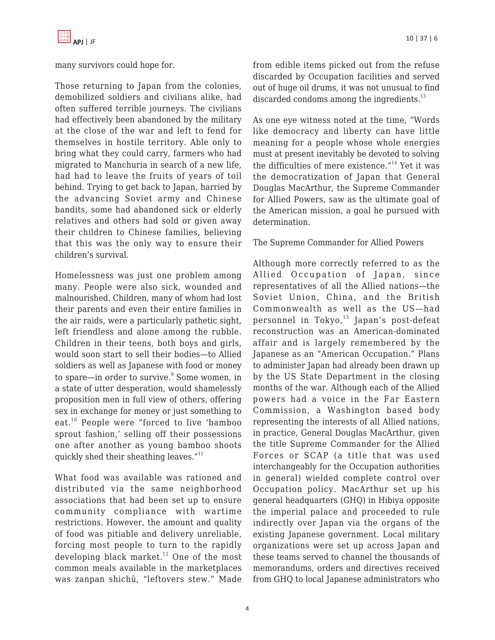

many survivors could hope for.

Those returning to Japan from the colonies, demobilized soldiers and civilians alike, had often suffered terrible journeys. The civilians had effectively been abandoned by the military at the close of the war and left to fend for themselves in hostile territory. Able only to bring what they could carry, farmers who had migrated to Manchuria in search of a new life, had had to leave the fruits of years of toil behind. Trying to get back to Japan, harried by the advancing Soviet army and Chinese bandits, some had abandoned sick or elderly relatives and others had sold or given away their children to Chinese families, believing that this was the only way to ensure their children's survival.

Homelessness was just one problem among many. People were also sick, wounded and malnourished. Children, many of whom had lost their parents and even their entire families in the air raids, were a particularly pathetic sight, left friendless and alone among the rubble. Children in their teens, both boys and girls, would soon start to sell their bodies—to Allied soldiers as well as Japanese with food or money to spare—in order to survive.<sup>9</sup> Some women, in a state of utter desperation, would shamelessly proposition men in full view of others, offering sex in exchange for money or just something to eat.<sup>10</sup> People were "forced to live 'bamboo sprout fashion,' selling off their possessions one after another as young bamboo shoots quickly shed their sheathing leaves."<sup>11</sup>

What food was available was rationed and distributed via the same neighborhood associations that had been set up to ensure community compliance with wartime restrictions. However, the amount and quality of food was pitiable and delivery unreliable, forcing most people to turn to the rapidly developing black market. $12$  One of the most common meals available in the marketplaces was zanpan shichū, "leftovers stew." Made from edible items picked out from the refuse discarded by Occupation facilities and served out of huge oil drums, it was not unusual to find discarded condoms among the ingredients.<sup>13</sup>

As one eye witness noted at the time, "Words like democracy and liberty can have little meaning for a people whose whole energies must at present inevitably be devoted to solving the difficulties of mere existence. $14$ <sup>14</sup> Yet it was the democratization of Japan that General Douglas MacArthur, the Supreme Commander for Allied Powers, saw as the ultimate goal of the American mission, a goal he pursued with determination.

#### The Supreme Commander for Allied Powers

Although more correctly referred to as the Allied Occupation of Japan, since representatives of all the Allied nations—the Soviet Union, China, and the British Commonwealth as well as the US—had personnel in Tokyo, $15$  Japan's post-defeat reconstruction was an American-dominated affair and is largely remembered by the Japanese as an "American Occupation." Plans to administer Japan had already been drawn up by the US State Department in the closing months of the war. Although each of the Allied powers had a voice in the Far Eastern Commission, a Washington based body representing the interests of all Allied nations, in practice, General Douglas MacArthur, given the title Supreme Commander for the Allied Forces or SCAP (a title that was used interchangeably for the Occupation authorities in general) wielded complete control over Occupation policy. MacArthur set up his general headquarters (GHQ) in Hibiya opposite the imperial palace and proceeded to rule indirectly over Japan via the organs of the existing Japanese government. Local military organizations were set up across Japan and these teams served to channel the thousands of memorandums, orders and directives received from GHQ to local Japanese administrators who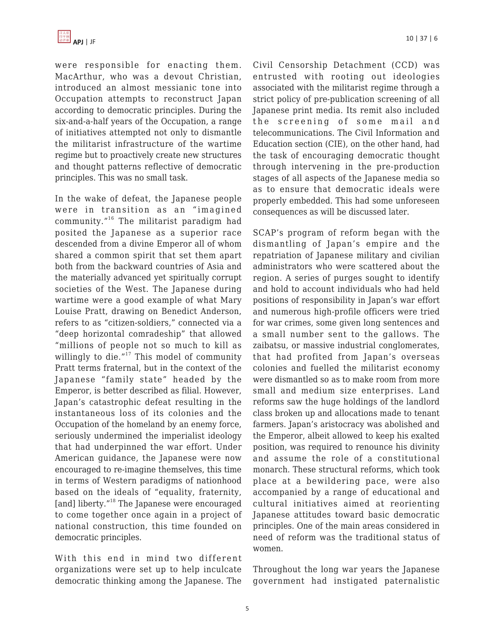

were responsible for enacting them. MacArthur, who was a devout Christian, introduced an almost messianic tone into Occupation attempts to reconstruct Japan according to democratic principles. During the six-and-a-half years of the Occupation, a range of initiatives attempted not only to dismantle the militarist infrastructure of the wartime regime but to proactively create new structures and thought patterns reflective of democratic principles. This was no small task.

In the wake of defeat, the Japanese people were in transition as an "imagined community."<sup>16</sup> The militarist paradigm had posited the Japanese as a superior race descended from a divine Emperor all of whom shared a common spirit that set them apart both from the backward countries of Asia and the materially advanced yet spiritually corrupt societies of the West. The Japanese during wartime were a good example of what Mary Louise Pratt, drawing on Benedict Anderson, refers to as "citizen-soldiers," connected via a "deep horizontal comradeship" that allowed "millions of people not so much to kill as willingly to die. $17$ <sup>17</sup> This model of community Pratt terms fraternal, but in the context of the Japanese "family state" headed by the Emperor, is better described as filial. However, Japan's catastrophic defeat resulting in the instantaneous loss of its colonies and the Occupation of the homeland by an enemy force, seriously undermined the imperialist ideology that had underpinned the war effort. Under American guidance, the Japanese were now encouraged to re-imagine themselves, this time in terms of Western paradigms of nationhood based on the ideals of "equality, fraternity, [and] liberty."<sup>18</sup> The Japanese were encouraged to come together once again in a project of national construction, this time founded on democratic principles.

With this end in mind two different organizations were set up to help inculcate democratic thinking among the Japanese. The Civil Censorship Detachment (CCD) was entrusted with rooting out ideologies associated with the militarist regime through a strict policy of pre-publication screening of all Japanese print media. Its remit also included the screening of some mail and telecommunications. The Civil Information and Education section (CIE), on the other hand, had the task of encouraging democratic thought through intervening in the pre-production stages of all aspects of the Japanese media so as to ensure that democratic ideals were properly embedded. This had some unforeseen consequences as will be discussed later.

SCAP's program of reform began with the dismantling of Japan's empire and the repatriation of Japanese military and civilian administrators who were scattered about the region. A series of purges sought to identify and hold to account individuals who had held positions of responsibility in Japan's war effort and numerous high-profile officers were tried for war crimes, some given long sentences and a small number sent to the gallows. The zaibatsu, or massive industrial conglomerates, that had profited from Japan's overseas colonies and fuelled the militarist economy were dismantled so as to make room from more small and medium size enterprises. Land reforms saw the huge holdings of the landlord class broken up and allocations made to tenant farmers. Japan's aristocracy was abolished and the Emperor, albeit allowed to keep his exalted position, was required to renounce his divinity and assume the role of a constitutional monarch. These structural reforms, which took place at a bewildering pace, were also accompanied by a range of educational and cultural initiatives aimed at reorienting Japanese attitudes toward basic democratic principles. One of the main areas considered in need of reform was the traditional status of women.

Throughout the long war years the Japanese government had instigated paternalistic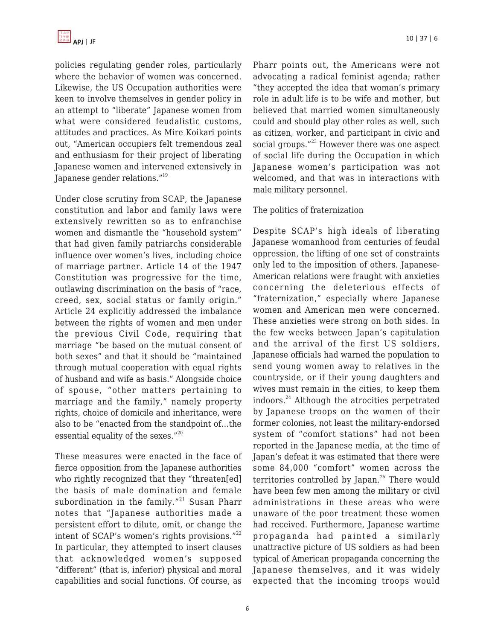policies regulating gender roles, particularly where the behavior of women was concerned. Likewise, the US Occupation authorities were keen to involve themselves in gender policy in an attempt to "liberate" Japanese women from what were considered feudalistic customs. attitudes and practices. As Mire Koikari points out, "American occupiers felt tremendous zeal and enthusiasm for their project of liberating Japanese women and intervened extensively in Japanese gender relations."<sup>19</sup>

Under close scrutiny from SCAP, the Japanese constitution and labor and family laws were extensively rewritten so as to enfranchise women and dismantle the "household system" that had given family patriarchs considerable influence over women's lives, including choice of marriage partner. Article 14 of the 1947 Constitution was progressive for the time, outlawing discrimination on the basis of "race, creed, sex, social status or family origin." Article 24 explicitly addressed the imbalance between the rights of women and men under the previous Civil Code, requiring that marriage "be based on the mutual consent of both sexes" and that it should be "maintained through mutual cooperation with equal rights of husband and wife as basis." Alongside choice of spouse, "other matters pertaining to marriage and the family," namely property rights, choice of domicile and inheritance, were also to be "enacted from the standpoint of…the essential equality of the sexes."<sup>20</sup>

These measures were enacted in the face of fierce opposition from the Japanese authorities who rightly recognized that they "threaten[ed] the basis of male domination and female subordination in the family."<sup>21</sup> Susan Pharr notes that "Japanese authorities made a persistent effort to dilute, omit, or change the intent of SCAP's women's rights provisions."<sup>22</sup> In particular, they attempted to insert clauses that acknowledged women's supposed "different" (that is, inferior) physical and moral capabilities and social functions. Of course, as Pharr points out, the Americans were not advocating a radical feminist agenda; rather "they accepted the idea that woman's primary role in adult life is to be wife and mother, but believed that married women simultaneously could and should play other roles as well, such as citizen, worker, and participant in civic and social groups."<sup>23</sup> However there was one aspect of social life during the Occupation in which Japanese women's participation was not welcomed, and that was in interactions with male military personnel.

#### The politics of fraternization

Despite SCAP's high ideals of liberating Japanese womanhood from centuries of feudal oppression, the lifting of one set of constraints only led to the imposition of others. Japanese-American relations were fraught with anxieties concerning the deleterious effects of "fraternization," especially where Japanese women and American men were concerned. These anxieties were strong on both sides. In the few weeks between Japan's capitulation and the arrival of the first US soldiers, Japanese officials had warned the population to send young women away to relatives in the countryside, or if their young daughters and wives must remain in the cities, to keep them indoors.<sup>24</sup> Although the atrocities perpetrated by Japanese troops on the women of their former colonies, not least the military-endorsed system of "comfort stations" had not been reported in the Japanese media, at the time of Japan's defeat it was estimated that there were some 84,000 "comfort" women across the territories controlled by Japan. $^{25}$  There would have been few men among the military or civil administrations in these areas who were unaware of the poor treatment these women had received. Furthermore, Japanese wartime propaganda had painted a similarly unattractive picture of US soldiers as had been typical of American propaganda concerning the Japanese themselves, and it was widely expected that the incoming troops would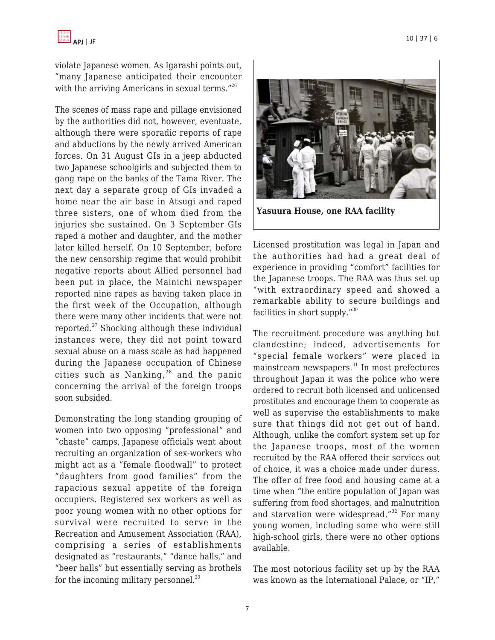

violate Japanese women. As Igarashi points out, "many Japanese anticipated their encounter with the arriving Americans in sexual terms."<sup>26</sup>

The scenes of mass rape and pillage envisioned by the authorities did not, however, eventuate, although there were sporadic reports of rape and abductions by the newly arrived American forces. On 31 August GIs in a jeep abducted two Japanese schoolgirls and subjected them to gang rape on the banks of the Tama River. The next day a separate group of GIs invaded a home near the air base in Atsugi and raped three sisters, one of whom died from the injuries she sustained. On 3 September GIs raped a mother and daughter, and the mother later killed herself. On 10 September, before the new censorship regime that would prohibit negative reports about Allied personnel had been put in place, the Mainichi newspaper reported nine rapes as having taken place in the first week of the Occupation, although there were many other incidents that were not reported.<sup>27</sup> Shocking although these individual instances were, they did not point toward sexual abuse on a mass scale as had happened during the Japanese occupation of Chinese cities such as Nanking, $^{28}$  and the panic concerning the arrival of the foreign troops soon subsided.

Demonstrating the long standing grouping of women into two opposing "professional" and "chaste" camps, Japanese officials went about recruiting an organization of sex-workers who might act as a "female floodwall" to protect "daughters from good families" from the rapacious sexual appetite of the foreign occupiers. Registered sex workers as well as poor young women with no other options for survival were recruited to serve in the Recreation and Amusement Association (RAA), comprising a series of establishments designated as "restaurants," "dance halls," and "beer halls" but essentially serving as brothels for the incoming military personnel. $^{29}$ 



**Yasuura House, one RAA facility**

Licensed prostitution was legal in Japan and the authorities had had a great deal of experience in providing "comfort" facilities for the Japanese troops. The RAA was thus set up "with extraordinary speed and showed a remarkable ability to secure buildings and facilities in short supply."<sup>30</sup>

The recruitment procedure was anything but clandestine; indeed, advertisements for "special female workers" were placed in mainstream newspapers.<sup>31</sup> In most prefectures throughout Japan it was the police who were ordered to recruit both licensed and unlicensed prostitutes and encourage them to cooperate as well as supervise the establishments to make sure that things did not get out of hand. Although, unlike the comfort system set up for the Japanese troops, most of the women recruited by the RAA offered their services out of choice, it was a choice made under duress. The offer of free food and housing came at a time when "the entire population of Japan was suffering from food shortages, and malnutrition and starvation were widespread."<sup>32</sup> For many young women, including some who were still high-school girls, there were no other options available.

The most notorious facility set up by the RAA was known as the International Palace, or "IP,"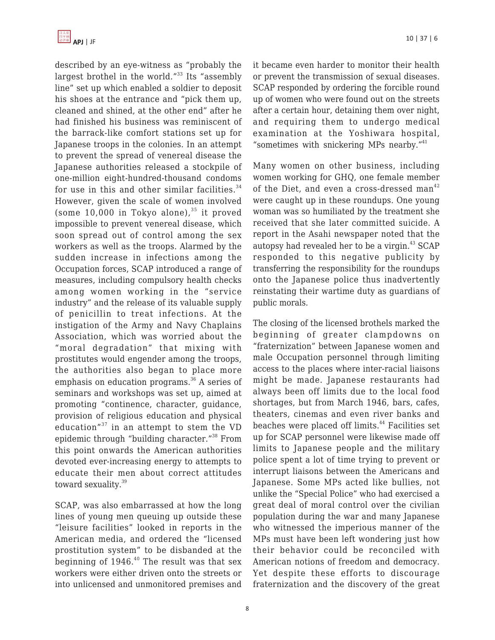

described by an eye-witness as "probably the largest brothel in the world."<sup>33</sup> Its "assembly line" set up which enabled a soldier to deposit his shoes at the entrance and "pick them up, cleaned and shined, at the other end" after he had finished his business was reminiscent of the barrack-like comfort stations set up for Japanese troops in the colonies. In an attempt to prevent the spread of venereal disease the Japanese authorities released a stockpile of one-million eight-hundred-thousand condoms for use in this and other similar facilities.  $34$ However, given the scale of women involved (some  $10,000$  in Tokyo alone),<sup>35</sup> it proved impossible to prevent venereal disease, which soon spread out of control among the sex workers as well as the troops. Alarmed by the sudden increase in infections among the Occupation forces, SCAP introduced a range of measures, including compulsory health checks among women working in the "service industry" and the release of its valuable supply of penicillin to treat infections. At the instigation of the Army and Navy Chaplains Association, which was worried about the "moral degradation" that mixing with prostitutes would engender among the troops, the authorities also began to place more emphasis on education programs.<sup>36</sup> A series of seminars and workshops was set up, aimed at promoting "continence, character, guidance, provision of religious education and physical education"<sup>37</sup> in an attempt to stem the VD epidemic through "building character."<sup>38</sup> From this point onwards the American authorities devoted ever-increasing energy to attempts to educate their men about correct attitudes toward sexuality.<sup>39</sup>

SCAP, was also embarrassed at how the long lines of young men queuing up outside these "leisure facilities" looked in reports in the American media, and ordered the "licensed prostitution system" to be disbanded at the beginning of  $1946.<sup>40</sup>$  The result was that sex workers were either driven onto the streets or into unlicensed and unmonitored premises and it became even harder to monitor their health or prevent the transmission of sexual diseases. SCAP responded by ordering the forcible round up of women who were found out on the streets after a certain hour, detaining them over night, and requiring them to undergo medical examination at the Yoshiwara hospital, "sometimes with snickering MPs nearby. $141$ 

Many women on other business, including women working for GHQ, one female member of the Diet, and even a cross-dressed man<sup>42</sup> were caught up in these roundups. One young woman was so humiliated by the treatment she received that she later committed suicide. A report in the Asahi newspaper noted that the autopsy had revealed her to be a virgin.<sup>43</sup> SCAP responded to this negative publicity by transferring the responsibility for the roundups onto the Japanese police thus inadvertently reinstating their wartime duty as guardians of public morals.

The closing of the licensed brothels marked the beginning of greater clampdowns on "fraternization" between Japanese women and male Occupation personnel through limiting access to the places where inter-racial liaisons might be made. Japanese restaurants had always been off limits due to the local food shortages, but from March 1946, bars, cafes, theaters, cinemas and even river banks and beaches were placed off limits.<sup>44</sup> Facilities set up for SCAP personnel were likewise made off limits to Japanese people and the military police spent a lot of time trying to prevent or interrupt liaisons between the Americans and Japanese. Some MPs acted like bullies, not unlike the "Special Police" who had exercised a great deal of moral control over the civilian population during the war and many Japanese who witnessed the imperious manner of the MPs must have been left wondering just how their behavior could be reconciled with American notions of freedom and democracy. Yet despite these efforts to discourage fraternization and the discovery of the great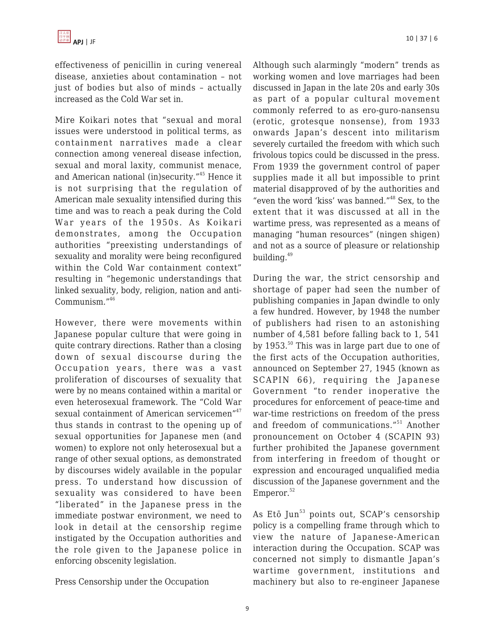effectiveness of penicillin in curing venereal disease, anxieties about contamination – not just of bodies but also of minds – actually increased as the Cold War set in.

Mire Koikari notes that "sexual and moral issues were understood in political terms, as containment narratives made a clear connection among venereal disease infection, sexual and moral laxity, communist menace, and American national (in)security."<sup>45</sup> Hence it is not surprising that the regulation of American male sexuality intensified during this time and was to reach a peak during the Cold War years of the 1950s. As Koikari demonstrates, among the Occupation authorities "preexisting understandings of sexuality and morality were being reconfigured within the Cold War containment context" resulting in "hegemonic understandings that linked sexuality, body, religion, nation and anti-Communism."<sup>46</sup>

However, there were movements within Japanese popular culture that were going in quite contrary directions. Rather than a closing down of sexual discourse during the Occupation years, there was a vast proliferation of discourses of sexuality that were by no means contained within a marital or even heterosexual framework. The "Cold War sexual containment of American servicemen"<sup>47</sup> thus stands in contrast to the opening up of sexual opportunities for Japanese men (and women) to explore not only heterosexual but a range of other sexual options, as demonstrated by discourses widely available in the popular press. To understand how discussion of sexuality was considered to have been "liberated" in the Japanese press in the immediate postwar environment, we need to look in detail at the censorship regime instigated by the Occupation authorities and the role given to the Japanese police in enforcing obscenity legislation.

Press Censorship under the Occupation

Although such alarmingly "modern" trends as working women and love marriages had been discussed in Japan in the late 20s and early 30s as part of a popular cultural movement commonly referred to as ero-guro-nansensu (erotic, grotesque nonsense), from 1933 onwards Japan's descent into militarism severely curtailed the freedom with which such frivolous topics could be discussed in the press. From 1939 the government control of paper supplies made it all but impossible to print material disapproved of by the authorities and "even the word 'kiss' was banned."<sup>48</sup> Sex, to the extent that it was discussed at all in the wartime press, was represented as a means of managing "human resources" (ningen shigen) and not as a source of pleasure or relationship building.<sup>49</sup>

During the war, the strict censorship and shortage of paper had seen the number of publishing companies in Japan dwindle to only a few hundred. However, by 1948 the number of publishers had risen to an astonishing number of 4,581 before falling back to 1, 541 by  $1953$ <sup>50</sup> This was in large part due to one of the first acts of the Occupation authorities, announced on September 27, 1945 (known as SCAPIN 66), requiring the Japanese Government "to render inoperative the procedures for enforcement of peace-time and war-time restrictions on freedom of the press and freedom of communications."<sup>51</sup> Another pronouncement on October 4 (SCAPIN 93) further prohibited the Japanese government from interfering in freedom of thought or expression and encouraged unqualified media discussion of the Japanese government and the Emperor. $52$ 

As Etō Jun<sup>53</sup> points out, SCAP's censorship policy is a compelling frame through which to view the nature of Japanese-American interaction during the Occupation. SCAP was concerned not simply to dismantle Japan's wartime government, institutions and machinery but also to re-engineer Japanese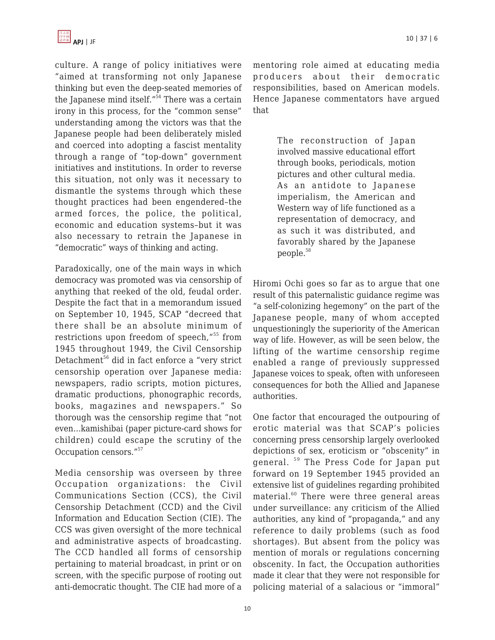culture. A range of policy initiatives were "aimed at transforming not only Japanese thinking but even the deep-seated memories of the Japanese mind itself."<sup>54</sup> There was a certain irony in this process, for the "common sense" understanding among the victors was that the Japanese people had been deliberately misled and coerced into adopting a fascist mentality through a range of "top-down" government initiatives and institutions. In order to reverse this situation, not only was it necessary to dismantle the systems through which these thought practices had been engendered–the armed forces, the police, the political, economic and education systems–but it was also necessary to retrain the Japanese in "democratic" ways of thinking and acting.

Paradoxically, one of the main ways in which democracy was promoted was via censorship of anything that reeked of the old, feudal order. Despite the fact that in a memorandum issued on September 10, 1945, SCAP "decreed that there shall be an absolute minimum of restrictions upon freedom of speech,"<sup>55</sup> from 1945 throughout 1949, the Civil Censorship Detachment<sup>56</sup> did in fact enforce a "very strict censorship operation over Japanese media: newspapers, radio scripts, motion pictures, dramatic productions, phonographic records, books, magazines and newspapers." So thorough was the censorship regime that "not even…kamishibai (paper picture-card shows for children) could escape the scrutiny of the Occupation censors."<sup>57</sup>

Media censorship was overseen by three Occupation organizations: the Civil Communications Section (CCS), the Civil Censorship Detachment (CCD) and the Civil Information and Education Section (CIE). The CCS was given oversight of the more technical and administrative aspects of broadcasting. The CCD handled all forms of censorship pertaining to material broadcast, in print or on screen, with the specific purpose of rooting out anti-democratic thought. The CIE had more of a mentoring role aimed at educating media producers about their democratic responsibilities, based on American models. Hence Japanese commentators have argued that

> The reconstruction of Japan involved massive educational effort through books, periodicals, motion pictures and other cultural media. As an antidote to Japanese imperialism, the American and Western way of life functioned as a representation of democracy, and as such it was distributed, and favorably shared by the Japanese people.<sup>58</sup>

Hiromi Ochi goes so far as to argue that one result of this paternalistic guidance regime was "a self-colonizing hegemony" on the part of the Japanese people, many of whom accepted unquestioningly the superiority of the American way of life. However, as will be seen below, the lifting of the wartime censorship regime enabled a range of previously suppressed Japanese voices to speak, often with unforeseen consequences for both the Allied and Japanese authorities.

One factor that encouraged the outpouring of erotic material was that SCAP's policies concerning press censorship largely overlooked depictions of sex, eroticism or "obscenity" in general. <sup>59</sup> The Press Code for Japan put forward on 19 September 1945 provided an extensive list of guidelines regarding prohibited material.<sup>60</sup> There were three general areas under surveillance: any criticism of the Allied authorities, any kind of "propaganda," and any reference to daily problems (such as food shortages). But absent from the policy was mention of morals or regulations concerning obscenity. In fact, the Occupation authorities made it clear that they were not responsible for policing material of a salacious or "immoral"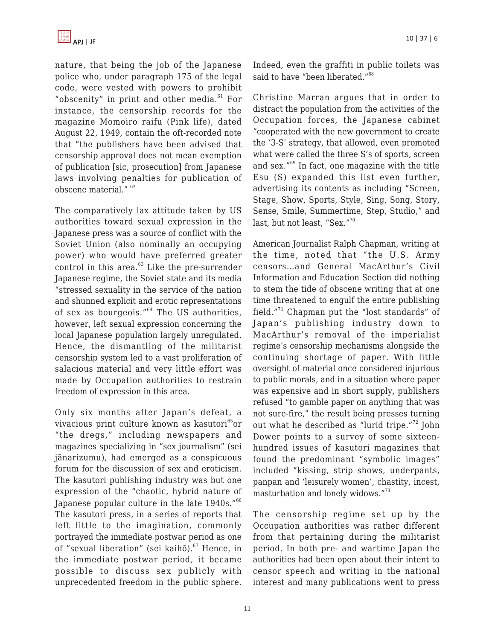

nature, that being the job of the Japanese police who, under paragraph 175 of the legal code, were vested with powers to prohibit "obscenity" in print and other media. $61$  For instance, the censorship records for the magazine Momoiro raifu (Pink life), dated August 22, 1949, contain the oft-recorded note that "the publishers have been advised that censorship approval does not mean exemption of publication [sic, prosecution] from Japanese laws involving penalties for publication of obscene material." <sup>62</sup>

The comparatively lax attitude taken by US authorities toward sexual expression in the Japanese press was a source of conflict with the Soviet Union (also nominally an occupying power) who would have preferred greater control in this area. $63$  Like the pre-surrender Japanese regime, the Soviet state and its media "stressed sexuality in the service of the nation and shunned explicit and erotic representations of sex as bourgeois."<sup>64</sup> The US authorities, however, left sexual expression concerning the local Japanese population largely unregulated. Hence, the dismantling of the militarist censorship system led to a vast proliferation of salacious material and very little effort was made by Occupation authorities to restrain freedom of expression in this area.

Only six months after Japan's defeat, a vivacious print culture known as kasutori<sup>65</sup>or "the dregs," including newspapers and magazines specializing in "sex journalism" (sei jānarizumu), had emerged as a conspicuous forum for the discussion of sex and eroticism. The kasutori publishing industry was but one expression of the "chaotic, hybrid nature of Japanese popular culture in the late 1940s."<sup>66</sup> The kasutori press, in a series of reports that left little to the imagination, commonly portrayed the immediate postwar period as one of "sexual liberation" (sei kaihō).<sup>67</sup> Hence, in the immediate postwar period, it became possible to discuss sex publicly with unprecedented freedom in the public sphere.

Indeed, even the graffiti in public toilets was said to have "been liberated."<sup>68</sup>

Christine Marran argues that in order to distract the population from the activities of the Occupation forces, the Japanese cabinet "cooperated with the new government to create the '3-S' strategy, that allowed, even promoted what were called the three S's of sports, screen and sex."<sup>69</sup> In fact, one magazine with the title Esu (S) expanded this list even further, advertising its contents as including "Screen, Stage, Show, Sports, Style, Sing, Song, Story, Sense, Smile, Summertime, Step, Studio," and last, but not least, "Sex."<sup>70</sup>

American Journalist Ralph Chapman, writing at the time, noted that "the U.S. Army censors…and General MacArthur's Civil Information and Education Section did nothing to stem the tide of obscene writing that at one time threatened to engulf the entire publishing field."<sup>71</sup> Chapman put the "lost standards" of Japan's publishing industry down to MacArthur's removal of the imperialist regime's censorship mechanisms alongside the continuing shortage of paper. With little oversight of material once considered injurious to public morals, and in a situation where paper was expensive and in short supply, publishers refused "to gamble paper on anything that was not sure-fire," the result being presses turning out what he described as "lurid tripe."<sup>72</sup> John Dower points to a survey of some sixteenhundred issues of kasutori magazines that found the predominant "symbolic images" included "kissing, strip shows, underpants, panpan and 'leisurely women', chastity, incest, masturbation and lonely widows."<sup>73</sup>

The censorship regime set up by the Occupation authorities was rather different from that pertaining during the militarist period. In both pre- and wartime Japan the authorities had been open about their intent to censor speech and writing in the national interest and many publications went to press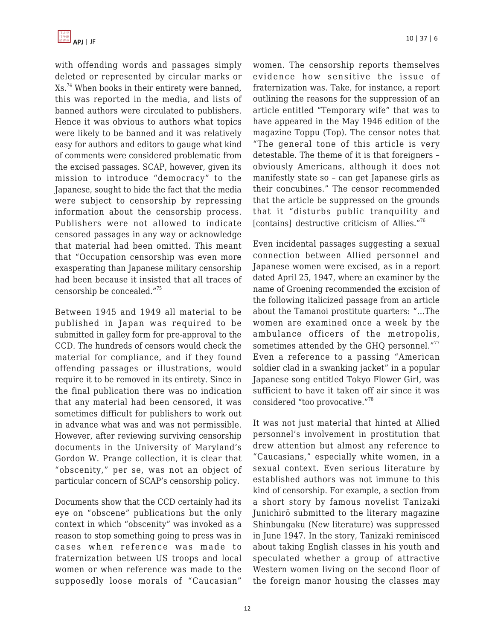with offending words and passages simply deleted or represented by circular marks or Xs.<sup>74</sup> When books in their entirety were banned, this was reported in the media, and lists of banned authors were circulated to publishers. Hence it was obvious to authors what topics were likely to be banned and it was relatively easy for authors and editors to gauge what kind of comments were considered problematic from the excised passages. SCAP, however, given its mission to introduce "democracy" to the Japanese, sought to hide the fact that the media were subject to censorship by repressing information about the censorship process. Publishers were not allowed to indicate censored passages in any way or acknowledge that material had been omitted. This meant that "Occupation censorship was even more exasperating than Japanese military censorship had been because it insisted that all traces of censorship be concealed."<sup>75</sup>

Between 1945 and 1949 all material to be published in Japan was required to be submitted in galley form for pre-approval to the CCD. The hundreds of censors would check the material for compliance, and if they found offending passages or illustrations, would require it to be removed in its entirety. Since in the final publication there was no indication that any material had been censored, it was sometimes difficult for publishers to work out in advance what was and was not permissible. However, after reviewing surviving censorship documents in the University of Maryland's Gordon W. Prange collection, it is clear that "obscenity," per se, was not an object of particular concern of SCAP's censorship policy.

Documents show that the CCD certainly had its eye on "obscene" publications but the only context in which "obscenity" was invoked as a reason to stop something going to press was in cases when reference was made to fraternization between US troops and local women or when reference was made to the supposedly loose morals of "Caucasian"

women. The censorship reports themselves evidence how sensitive the issue of fraternization was. Take, for instance, a report outlining the reasons for the suppression of an article entitled "Temporary wife" that was to have appeared in the May 1946 edition of the magazine Toppu (Top). The censor notes that "The general tone of this article is very detestable. The theme of it is that foreigners – obviously Americans, although it does not manifestly state so – can get Japanese girls as their concubines." The censor recommended that the article be suppressed on the grounds that it "disturbs public tranquility and [contains] destructive criticism of Allies."<sup>76</sup>

Even incidental passages suggesting a sexual connection between Allied personnel and Japanese women were excised, as in a report dated April 25, 1947, where an examiner by the name of Groening recommended the excision of the following italicized passage from an article about the Tamanoi prostitute quarters: "…The women are examined once a week by the ambulance officers of the metropolis, sometimes attended by the GHQ personnel."<sup>77</sup> Even a reference to a passing "American soldier clad in a swanking jacket" in a popular Japanese song entitled Tokyo Flower Girl, was sufficient to have it taken off air since it was considered "too provocative."<sup>78</sup>

It was not just material that hinted at Allied personnel's involvement in prostitution that drew attention but almost any reference to "Caucasians," especially white women, in a sexual context. Even serious literature by established authors was not immune to this kind of censorship. For example, a section from a short story by famous novelist Tanizaki Junichirō submitted to the literary magazine Shinbungaku (New literature) was suppressed in June 1947. In the story, Tanizaki reminisced about taking English classes in his youth and speculated whether a group of attractive Western women living on the second floor of the foreign manor housing the classes may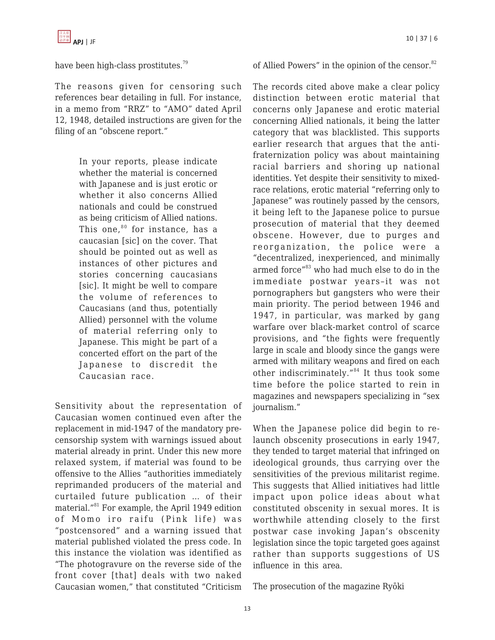

have been high-class prostitutes.<sup>79</sup>

The reasons given for censoring such references bear detailing in full. For instance, in a memo from "RRZ" to "AMO" dated April 12, 1948, detailed instructions are given for the filing of an "obscene report."

> In your reports, please indicate whether the material is concerned with Japanese and is just erotic or whether it also concerns Allied nationals and could be construed as being criticism of Allied nations. This one, $80$  for instance, has a caucasian [sic] on the cover. That should be pointed out as well as instances of other pictures and stories concerning caucasians [sic]. It might be well to compare the volume of references to Caucasians (and thus, potentially Allied) personnel with the volume of material referring only to Japanese. This might be part of a concerted effort on the part of the Japanese to discredit the Caucasian race.

Sensitivity about the representation of Caucasian women continued even after the replacement in mid-1947 of the mandatory precensorship system with warnings issued about material already in print. Under this new more relaxed system, if material was found to be offensive to the Allies "authorities immediately reprimanded producers of the material and curtailed future publication … of their material."<sup>81</sup> For example, the April 1949 edition of Momo iro raifu (Pink life) was "postcensored" and a warning issued that material published violated the press code. In this instance the violation was identified as "The photogravure on the reverse side of the front cover [that] deals with two naked Caucasian women," that constituted "Criticism

#### of Allied Powers" in the opinion of the censor. $82$

The records cited above make a clear policy distinction between erotic material that concerns only Japanese and erotic material concerning Allied nationals, it being the latter category that was blacklisted. This supports earlier research that argues that the antifraternization policy was about maintaining racial barriers and shoring up national identities. Yet despite their sensitivity to mixedrace relations, erotic material "referring only to Japanese" was routinely passed by the censors, it being left to the Japanese police to pursue prosecution of material that they deemed obscene. However, due to purges and reorganization, the police were a "decentralized, inexperienced, and minimally armed force"<sup>83</sup> who had much else to do in the immediate postwar years–it was not pornographers but gangsters who were their main priority. The period between 1946 and 1947, in particular, was marked by gang warfare over black-market control of scarce provisions, and "the fights were frequently large in scale and bloody since the gangs were armed with military weapons and fired on each other indiscriminately."<sup>84</sup> It thus took some time before the police started to rein in magazines and newspapers specializing in "sex journalism."

When the Japanese police did begin to relaunch obscenity prosecutions in early 1947, they tended to target material that infringed on ideological grounds, thus carrying over the sensitivities of the previous militarist regime. This suggests that Allied initiatives had little impact upon police ideas about what constituted obscenity in sexual mores. It is worthwhile attending closely to the first postwar case invoking Japan's obscenity legislation since the topic targeted goes against rather than supports suggestions of US influence in this area.

The prosecution of the magazine Ryōki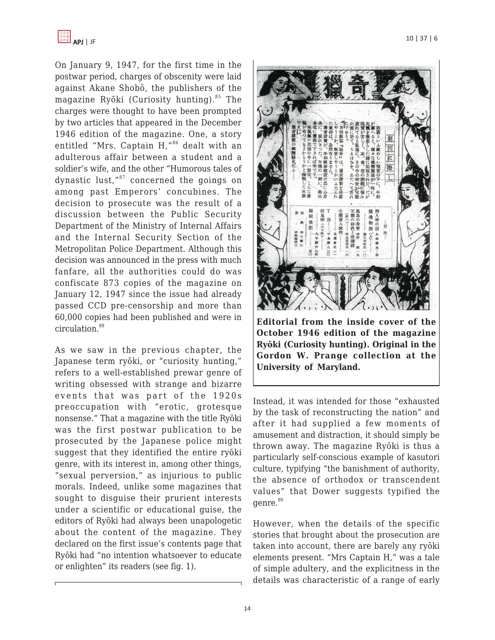

On January 9, 1947, for the first time in the postwar period, charges of obscenity were laid against Akane Shobō, the publishers of the magazine Ryōki (Curiosity hunting). $85$  The charges were thought to have been prompted by two articles that appeared in the December 1946 edition of the magazine. One, a story entitled "Mrs. Captain H,"86 dealt with an adulterous affair between a student and a soldier's wife, and the other "Humorous tales of dynastic lust,"<sup>87</sup> concerned the goings on among past Emperors' concubines. The decision to prosecute was the result of a discussion between the Public Security Department of the Ministry of Internal Affairs and the Internal Security Section of the Metropolitan Police Department. Although this decision was announced in the press with much fanfare, all the authorities could do was confiscate 873 copies of the magazine on January 12, 1947 since the issue had already passed CCD pre-censorship and more than 60,000 copies had been published and were in circulation.<sup>88</sup>

As we saw in the previous chapter, the Japanese term ryōki, or "curiosity hunting," refers to a well-established prewar genre of writing obsessed with strange and bizarre events that was part of the 1920s preoccupation with "erotic, grotesque nonsense." That a magazine with the title Ryōki was the first postwar publication to be prosecuted by the Japanese police might suggest that they identified the entire ryōki genre, with its interest in, among other things, "sexual perversion," as injurious to public morals. Indeed, unlike some magazines that sought to disguise their prurient interests under a scientific or educational guise, the editors of Ryōki had always been unapologetic about the content of the magazine. They declared on the first issue's contents page that Ryōki had "no intention whatsoever to educate or enlighten" its readers (see fig. 1).





**Editorial from the inside cover of the October 1946 edition of the magazine Ryōki (Curiosity hunting). Original in the Gordon W. Prange collection at the University of Maryland.**

Instead, it was intended for those "exhausted by the task of reconstructing the nation" and after it had supplied a few moments of amusement and distraction, it should simply be thrown away. The magazine Ryōki is thus a particularly self-conscious example of kasutori culture, typifying "the banishment of authority, the absence of orthodox or transcendent values" that Dower suggests typified the genre.<sup>89</sup>

However, when the details of the specific stories that brought about the prosecution are taken into account, there are barely any ryōki elements present. "Mrs Captain H," was a tale of simple adultery, and the explicitness in the details was characteristic of a range of early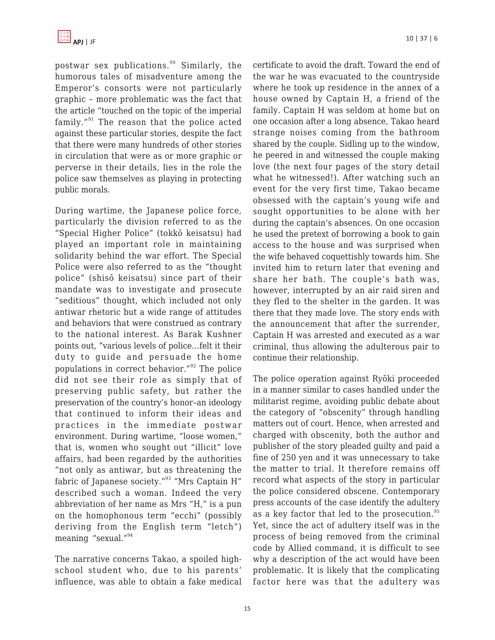

postwar sex publications. $90$  Similarly, the humorous tales of misadventure among the Emperor's consorts were not particularly graphic – more problematic was the fact that the article "touched on the topic of the imperial family."<sup>91</sup> The reason that the police acted against these particular stories, despite the fact that there were many hundreds of other stories in circulation that were as or more graphic or perverse in their details, lies in the role the police saw themselves as playing in protecting public morals.

During wartime, the Japanese police force, particularly the division referred to as the "Special Higher Police" (tokkō keisatsu) had played an important role in maintaining solidarity behind the war effort. The Special Police were also referred to as the "thought police" (shisō keisatsu) since part of their mandate was to investigate and prosecute "seditious" thought, which included not only antiwar rhetoric but a wide range of attitudes and behaviors that were construed as contrary to the national interest. As Barak Kushner points out, "various levels of police…felt it their duty to guide and persuade the home populations in correct behavior."<sup>92</sup> The police did not see their role as simply that of preserving public safety, but rather the preservation of the country's honor–an ideology that continued to inform their ideas and practices in the immediate postwar environment. During wartime, "loose women," that is, women who sought out "illicit" love affairs, had been regarded by the authorities "not only as antiwar, but as threatening the fabric of Japanese society."<sup>93</sup> "Mrs Captain H" described such a woman. Indeed the very abbreviation of her name as Mrs "H," is a pun on the homophonous term "ecchi" (possibly deriving from the English term "letch") meaning "sexual."<sup>94</sup>

The narrative concerns Takao, a spoiled highschool student who, due to his parents' influence, was able to obtain a fake medical certificate to avoid the draft. Toward the end of the war he was evacuated to the countryside where he took up residence in the annex of a house owned by Captain H, a friend of the family. Captain H was seldom at home but on one occasion after a long absence, Takao heard strange noises coming from the bathroom shared by the couple. Sidling up to the window, he peered in and witnessed the couple making love (the next four pages of the story detail what he witnessed!). After watching such an event for the very first time, Takao became obsessed with the captain's young wife and sought opportunities to be alone with her during the captain's absences. On one occasion he used the pretext of borrowing a book to gain access to the house and was surprised when the wife behaved coquettishly towards him. She invited him to return later that evening and share her bath. The couple's bath was, however, interrupted by an air raid siren and they fled to the shelter in the garden. It was there that they made love. The story ends with the announcement that after the surrender, Captain H was arrested and executed as a war criminal, thus allowing the adulterous pair to continue their relationship.

The police operation against Ryōki proceeded in a manner similar to cases handled under the militarist regime, avoiding public debate about the category of "obscenity" through handling matters out of court. Hence, when arrested and charged with obscenity, both the author and publisher of the story pleaded guilty and paid a fine of 250 yen and it was unnecessary to take the matter to trial. It therefore remains off record what aspects of the story in particular the police considered obscene. Contemporary press accounts of the case identify the adultery as a key factor that led to the prosecution.<sup>95</sup> Yet, since the act of adultery itself was in the process of being removed from the criminal code by Allied command, it is difficult to see why a description of the act would have been problematic. It is likely that the complicating factor here was that the adultery was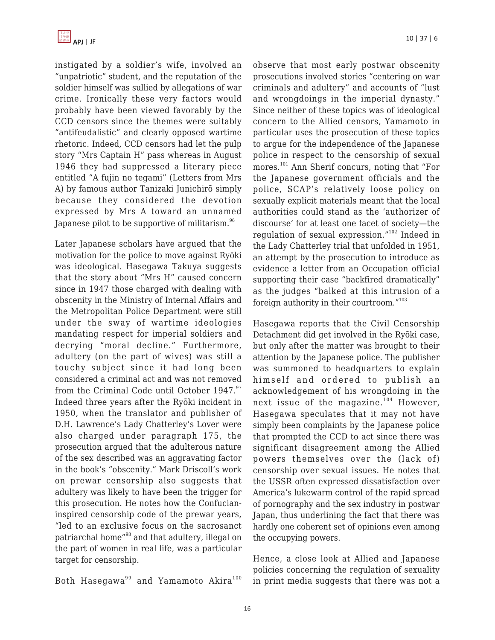

instigated by a soldier's wife, involved an "unpatriotic" student, and the reputation of the soldier himself was sullied by allegations of war crime. Ironically these very factors would probably have been viewed favorably by the CCD censors since the themes were suitably "antifeudalistic" and clearly opposed wartime rhetoric. Indeed, CCD censors had let the pulp story "Mrs Captain H" pass whereas in August 1946 they had suppressed a literary piece entitled "A fujin no tegami" (Letters from Mrs A) by famous author Tanizaki Junichirō simply because they considered the devotion expressed by Mrs A toward an unnamed Japanese pilot to be supportive of militarism.<sup>96</sup>

Later Japanese scholars have argued that the motivation for the police to move against Ryōki was ideological. Hasegawa Takuya suggests that the story about "Mrs H" caused concern since in 1947 those charged with dealing with obscenity in the Ministry of Internal Affairs and the Metropolitan Police Department were still under the sway of wartime ideologies mandating respect for imperial soldiers and decrying "moral decline." Furthermore, adultery (on the part of wives) was still a touchy subject since it had long been considered a criminal act and was not removed from the Criminal Code until October 1947.<sup>97</sup> Indeed three years after the Ryōki incident in 1950, when the translator and publisher of D.H. Lawrence's Lady Chatterley's Lover were also charged under paragraph 175, the prosecution argued that the adulterous nature of the sex described was an aggravating factor in the book's "obscenity." Mark Driscoll's work on prewar censorship also suggests that adultery was likely to have been the trigger for this prosecution. He notes how the Confucianinspired censorship code of the prewar years, "led to an exclusive focus on the sacrosanct patriarchal home"<sup>98</sup> and that adultery, illegal on the part of women in real life, was a particular target for censorship.

Both Hasegawa<sup>99</sup> and Yamamoto Akira<sup>100</sup>

observe that most early postwar obscenity prosecutions involved stories "centering on war criminals and adultery" and accounts of "lust and wrongdoings in the imperial dynasty." Since neither of these topics was of ideological concern to the Allied censors, Yamamoto in particular uses the prosecution of these topics to argue for the independence of the Japanese police in respect to the censorship of sexual mores.<sup>101</sup> Ann Sherif concurs, noting that "For the Japanese government officials and the police, SCAP's relatively loose policy on sexually explicit materials meant that the local authorities could stand as the 'authorizer of discourse' for at least one facet of society—the regulation of sexual expression."<sup>102</sup> Indeed in the Lady Chatterley trial that unfolded in 1951, an attempt by the prosecution to introduce as evidence a letter from an Occupation official supporting their case "backfired dramatically" as the judges "balked at this intrusion of a foreign authority in their courtroom."<sup>103</sup>

Hasegawa reports that the Civil Censorship Detachment did get involved in the Ryōki case, but only after the matter was brought to their attention by the Japanese police. The publisher was summoned to headquarters to explain himself and ordered to publish an acknowledgement of his wrongdoing in the next issue of the magazine.<sup>104</sup> However, Hasegawa speculates that it may not have simply been complaints by the Japanese police that prompted the CCD to act since there was significant disagreement among the Allied powers themselves over the (lack of) censorship over sexual issues. He notes that the USSR often expressed dissatisfaction over America's lukewarm control of the rapid spread of pornography and the sex industry in postwar Japan, thus underlining the fact that there was hardly one coherent set of opinions even among the occupying powers.

Hence, a close look at Allied and Japanese policies concerning the regulation of sexuality in print media suggests that there was not a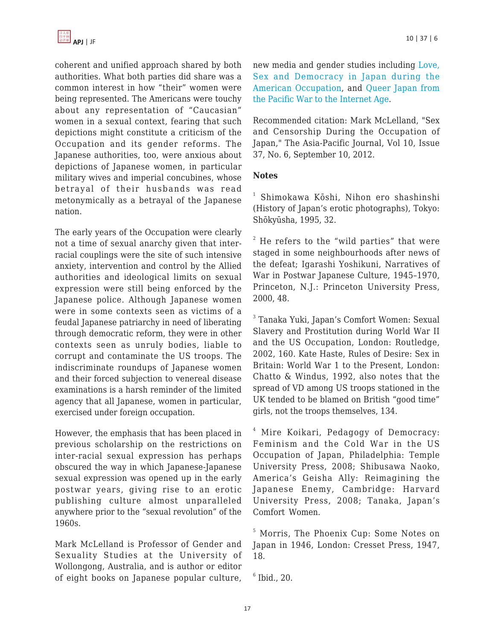coherent and unified approach shared by both authorities. What both parties did share was a common interest in how "their" women were being represented. The Americans were touchy about any representation of "Caucasian" women in a sexual context, fearing that such depictions might constitute a criticism of the Occupation and its gender reforms. The Japanese authorities, too, were anxious about depictions of Japanese women, in particular military wives and imperial concubines, whose betrayal of their husbands was read metonymically as a betrayal of the Japanese nation.

The early years of the Occupation were clearly not a time of sexual anarchy given that interracial couplings were the site of such intensive anxiety, intervention and control by the Allied authorities and ideological limits on sexual expression were still being enforced by the Japanese police. Although Japanese women were in some contexts seen as victims of a feudal Japanese patriarchy in need of liberating through democratic reform, they were in other contexts seen as unruly bodies, liable to corrupt and contaminate the US troops. The indiscriminate roundups of Japanese women and their forced subjection to venereal disease examinations is a harsh reminder of the limited agency that all Japanese, women in particular, exercised under foreign occupation.

However, the emphasis that has been placed in previous scholarship on the restrictions on inter-racial sexual expression has perhaps obscured the way in which Japanese-Japanese sexual expression was opened up in the early postwar years, giving rise to an erotic publishing culture almost unparalleled anywhere prior to the "sexual revolution" of the 1960s.

Mark McLelland is Professor of Gender and Sexuality Studies at the University of Wollongong, Australia, and is author or editor of eight books on Japanese popular culture, new media and gender studies including [Love,](http://www.amazon.com/dp/0230120598/?tag=theasipacjo0b-20) [Sex and Democracy in Japan during the](http://www.amazon.com/dp/0230120598/?tag=theasipacjo0b-20) [American Occupation,](http://www.amazon.com/dp/0230120598/?tag=theasipacjo0b-20) and [Queer Japan from](http://www.amazon.com/dp/B008UYQ2BY/?tag=theasipacjo0b-20) [the Pacific War to the Internet Age](http://www.amazon.com/dp/B008UYQ2BY/?tag=theasipacjo0b-20).

Recommended citation: Mark McLelland, "Sex and Censorship During the Occupation of Japan," The Asia-Pacific Journal, Vol 10, Issue 37, No. 6, September 10, 2012.

### **Notes**

1 Shimokawa Kōshi, Nihon ero shashinshi (History of Japan's erotic photographs), Tokyo: Shōkyūsha, 1995, 32.

 $2$  He refers to the "wild parties" that were staged in some neighbourhoods after news of the defeat; Igarashi Yoshikuni, Narratives of War in Postwar Japanese Culture, 1945–1970, Princeton, N.J.: Princeton University Press, 2000, 48.

3 Tanaka Yuki, Japan's Comfort Women: Sexual Slavery and Prostitution during World War II and the US Occupation, London: Routledge, 2002, 160. Kate Haste, Rules of Desire: Sex in Britain: World War 1 to the Present, London: Chatto & Windus, 1992, also notes that the spread of VD among US troops stationed in the UK tended to be blamed on British "good time" girls, not the troops themselves, 134.

4 Mire Koikari, Pedagogy of Democracy: Feminism and the Cold War in the US Occupation of Japan, Philadelphia: Temple University Press, 2008; Shibusawa Naoko, America's Geisha Ally: Reimagining the Japanese Enemy, Cambridge: Harvard University Press, 2008; Tanaka, Japan's Comfort Women.

5 Morris, The Phoenix Cup: Some Notes on Japan in 1946, London: Cresset Press, 1947, 18.

6 Ibid., 20.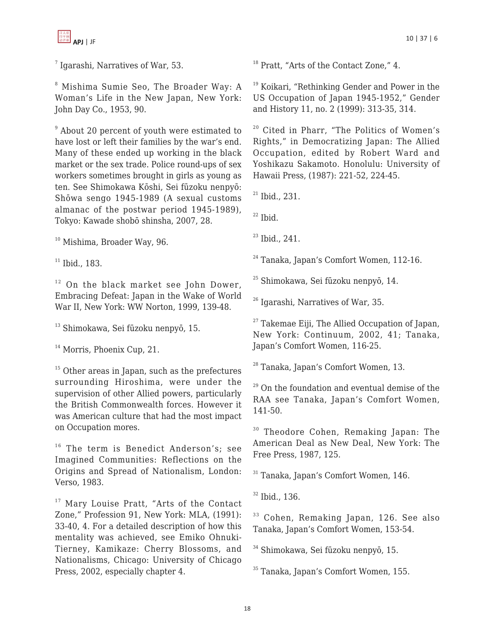

 $7$  Igarashi, Narratives of War, 53.

8 Mishima Sumie Seo, The Broader Way: A Woman's Life in the New Japan, New York: John Day Co., 1953, 90.

<sup>9</sup> About 20 percent of youth were estimated to have lost or left their families by the war's end. Many of these ended up working in the black market or the sex trade. Police round-ups of sex workers sometimes brought in girls as young as ten. See Shimokawa Kōshi, Sei fūzoku nenpyō: Shōwa sengo 1945-1989 (A sexual customs almanac of the postwar period 1945-1989), Tokyo: Kawade shobō shinsha, 2007, 28.

<sup>10</sup> Mishima, Broader Way, 96.

 $11$  Ibid., 183.

 $12$  On the black market see John Dower, Embracing Defeat: Japan in the Wake of World War II, New York: WW Norton, 1999, 139-48.

<sup>13</sup> Shimokawa, Sei fūzoku nenpyō, 15.

<sup>14</sup> Morris, Phoenix Cup, 21.

 $15$  Other areas in Japan, such as the prefectures surrounding Hiroshima, were under the supervision of other Allied powers, particularly the British Commonwealth forces. However it was American culture that had the most impact on Occupation mores.

<sup>16</sup> The term is Benedict Anderson's; see Imagined Communities: Reflections on the Origins and Spread of Nationalism, London: Verso, 1983.

<sup>17</sup> Mary Louise Pratt, "Arts of the Contact Zone," Profession 91, New York: MLA, (1991): 33-40, 4. For a detailed description of how this mentality was achieved, see Emiko Ohnuki-Tierney, Kamikaze: Cherry Blossoms, and Nationalisms, Chicago: University of Chicago Press, 2002, especially chapter 4.

<sup>18</sup> Pratt, "Arts of the Contact Zone," 4.

<sup>19</sup> Koikari, "Rethinking Gender and Power in the US Occupation of Japan 1945-1952," Gender and History 11, no. 2 (1999): 313-35, 314.

<sup>20</sup> Cited in Pharr, "The Politics of Women's Rights," in Democratizing Japan: The Allied Occupation, edited by Robert Ward and Yoshikazu Sakamoto. Honolulu: University of Hawaii Press, (1987): 221-52, 224-45.

 $21$  Ibid., 231.

 $22$  Ibid.

<sup>23</sup> Ibid., 241.

<sup>24</sup> Tanaka, Japan's Comfort Women, 112-16.

<sup>25</sup> Shimokawa, Sei fūzoku nenpyō, 14.

 $26$  Igarashi, Narratives of War, 35.

 $27$  Takemae Eiji, The Allied Occupation of Japan, New York: Continuum, 2002, 41; Tanaka, Japan's Comfort Women, 116-25.

<sup>28</sup> Tanaka, Japan's Comfort Women, 13.

 $29$  On the foundation and eventual demise of the RAA see Tanaka, Japan's Comfort Women, 141-50.

<sup>30</sup> Theodore Cohen, Remaking Japan: The American Deal as New Deal, New York: The Free Press, 1987, 125.

<sup>31</sup> Tanaka, Japan's Comfort Women, 146.

<sup>32</sup> Ibid., 136.

<sup>33</sup> Cohen, Remaking Japan, 126. See also Tanaka, Japan's Comfort Women, 153-54.

<sup>34</sup> Shimokawa, Sei fūzoku nenpyō, 15.

<sup>35</sup> Tanaka, Japan's Comfort Women, 155.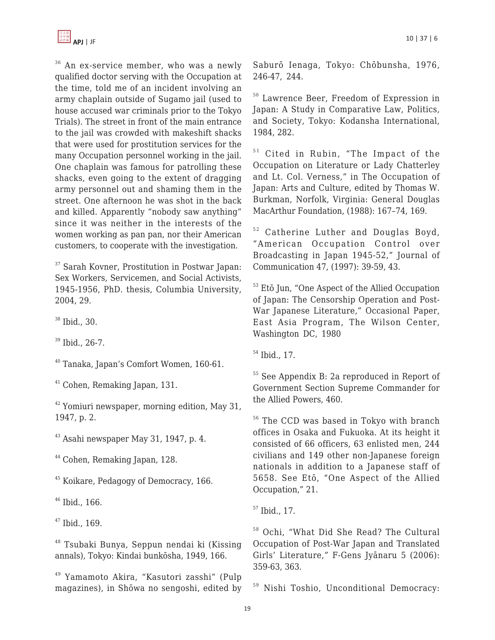<sup>36</sup> An ex-service member, who was a newly qualified doctor serving with the Occupation at the time, told me of an incident involving an army chaplain outside of Sugamo jail (used to house accused war criminals prior to the Tokyo Trials). The street in front of the main entrance to the jail was crowded with makeshift shacks that were used for prostitution services for the many Occupation personnel working in the jail. One chaplain was famous for patrolling these shacks, even going to the extent of dragging army personnel out and shaming them in the street. One afternoon he was shot in the back and killed. Apparently "nobody saw anything" since it was neither in the interests of the women working as pan pan, nor their American customers, to cooperate with the investigation.

<sup>37</sup> Sarah Kovner, Prostitution in Postwar Japan: Sex Workers, Servicemen, and Social Activists, 1945-1956, PhD. thesis, Columbia University, 2004, 29.

<sup>38</sup> Ibid., 30.

<sup>39</sup> Ibid., 26-7.

<sup>40</sup> Tanaka, Japan's Comfort Women, 160-61.

<sup>41</sup> Cohen, Remaking Japan, 131.

<sup>42</sup> Yomiuri newspaper, morning edition, May 31, 1947, p. 2.

 $43$  Asahi newspaper May 31, 1947, p. 4.

<sup>44</sup> Cohen, Remaking Japan, 128.

<sup>45</sup> Koikare, Pedagogy of Democracy, 166.

<sup>46</sup> Ibid., 166.

 $47$  Ibid., 169.

<sup>48</sup> Tsubaki Bunya, Seppun nendai ki (Kissing annals), Tokyo: Kindai bunkōsha, 1949, 166.

<sup>49</sup> Yamamoto Akira, "Kasutori zasshi" (Pulp magazines), in Shōwa no sengoshi, edited by Saburō Ienaga, Tokyo: Chōbunsha, 1976, 246-47, 244.

<sup>50</sup> Lawrence Beer, Freedom of Expression in Japan: A Study in Comparative Law, Politics, and Society, Tokyo: Kodansha International, 1984, 282.

 $51$  Cited in Rubin, "The Impact of the Occupation on Literature or Lady Chatterley and Lt. Col. Verness," in The Occupation of Japan: Arts and Culture, edited by Thomas W. Burkman, Norfolk, Virginia: General Douglas MacArthur Foundation, (1988): 167–74, 169.

<sup>52</sup> Catherine Luther and Douglas Boyd, "American Occupation Control over Broadcasting in Japan 1945-52," Journal of Communication 47, (1997): 39-59, 43.

<sup>53</sup> Etō Jun, "One Aspect of the Allied Occupation of Japan: The Censorship Operation and Post-War Japanese Literature," Occasional Paper, East Asia Program, The Wilson Center, Washington DC, 1980

<sup>54</sup> Ibid., 17.

<sup>55</sup> See Appendix B: 2a reproduced in Report of Government Section Supreme Commander for the Allied Powers, 460.

<sup>56</sup> The CCD was based in Tokyo with branch offices in Osaka and Fukuoka. At its height it consisted of 66 officers, 63 enlisted men, 244 civilians and 149 other non-Japanese foreign nationals in addition to a Japanese staff of 5658. See Etō, "One Aspect of the Allied Occupation," 21.

<sup>57</sup> Ibid., 17.

<sup>58</sup> Ochi, "What Did She Read? The Cultural Occupation of Post-War Japan and Translated Girls' Literature," F-Gens Jyānaru 5 (2006): 359-63, 363.

<sup>59</sup> Nishi Toshio, Unconditional Democracy: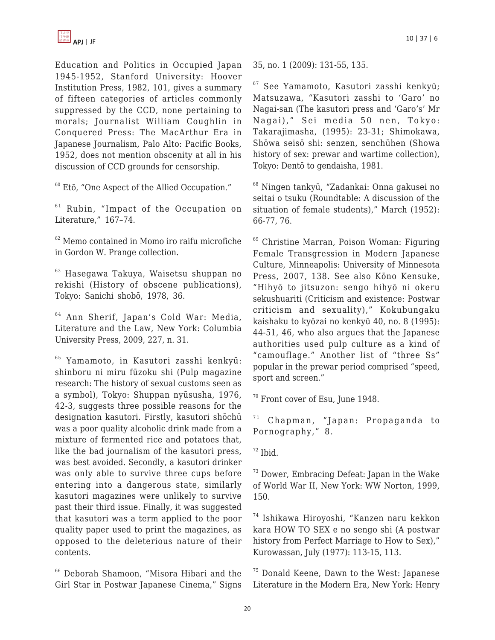

Education and Politics in Occupied Japan 1945-1952, Stanford University: Hoover Institution Press, 1982, 101, gives a summary of fifteen categories of articles commonly suppressed by the CCD, none pertaining to morals; Journalist William Coughlin in Conquered Press: The MacArthur Era in Japanese Journalism, Palo Alto: Pacific Books, 1952, does not mention obscenity at all in his discussion of CCD grounds for censorship.

 $60$  Etō, "One Aspect of the Allied Occupation."

 $61$  Rubin, "Impact of the Occupation on Literature," 167–74.

 $62$  Memo contained in Momo iro raifu microfiche in Gordon W. Prange collection.

<sup>63</sup> Hasegawa Takuya, Waisetsu shuppan no rekishi (History of obscene publications), Tokyo: Sanichi shobō, 1978, 36.

<sup>64</sup> Ann Sherif, Japan's Cold War: Media, Literature and the Law, New York: Columbia University Press, 2009, 227, n. 31.

<sup>65</sup> Yamamoto, in Kasutori zasshi kenkyū: shinboru ni miru fūzoku shi (Pulp magazine research: The history of sexual customs seen as a symbol), Tokyo: Shuppan nyūsusha, 1976, 42-3, suggests three possible reasons for the designation kasutori. Firstly, kasutori shōchū was a poor quality alcoholic drink made from a mixture of fermented rice and potatoes that, like the bad journalism of the kasutori press, was best avoided. Secondly, a kasutori drinker was only able to survive three cups before entering into a dangerous state, similarly kasutori magazines were unlikely to survive past their third issue. Finally, it was suggested that kasutori was a term applied to the poor quality paper used to print the magazines, as opposed to the deleterious nature of their contents.

<sup>66</sup> Deborah Shamoon, "Misora Hibari and the Girl Star in Postwar Japanese Cinema," Signs 35, no. 1 (2009): 131-55, 135.

<sup>67</sup> See Yamamoto, Kasutori zasshi kenkyū; Matsuzawa, "Kasutori zasshi to 'Garo' no Nagai-san (The kasutori press and 'Garo's' Mr Nagai)," Sei media 50 nen, Tokyo: Takarajimasha, (1995): 23-31; Shimokawa, Shōwa seisō shi: senzen, senchūhen (Showa history of sex: prewar and wartime collection), Tokyo: Dentō to gendaisha, 1981.

<sup>68</sup> Ningen tankyū, "Zadankai: Onna gakusei no seitai o tsuku (Roundtable: A discussion of the situation of female students)," March (1952): 66-77, 76.

<sup>69</sup> Christine Marran, Poison Woman: Figuring Female Transgression in Modern Japanese Culture, Minneapolis: University of Minnesota Press, 2007, 138. See also Kōno Kensuke, "Hihyō to jitsuzon: sengo hihyō ni okeru sekushuariti (Criticism and existence: Postwar criticism and sexuality)," Kokubungaku kaishaku to kyōzai no kenkyū 40, no. 8 (1995): 44-51, 46, who also argues that the Japanese authorities used pulp culture as a kind of "camouflage." Another list of "three Ss" popular in the prewar period comprised "speed, sport and screen."

 $70$  Front cover of Esu, June 1948.

<sup>71</sup> Chapman, "Japan: Propaganda to Pornography," 8.

 $72$  Ibid.

<sup>73</sup> Dower, Embracing Defeat: Japan in the Wake of World War II, New York: WW Norton, 1999, 150.

<sup>74</sup> Ishikawa Hiroyoshi, "Kanzen naru kekkon kara HOW TO SEX e no sengo shi (A postwar history from Perfect Marriage to How to Sex)," Kurowassan, July (1977): 113-15, 113.

<sup>75</sup> Donald Keene, Dawn to the West: Japanese Literature in the Modern Era, New York: Henry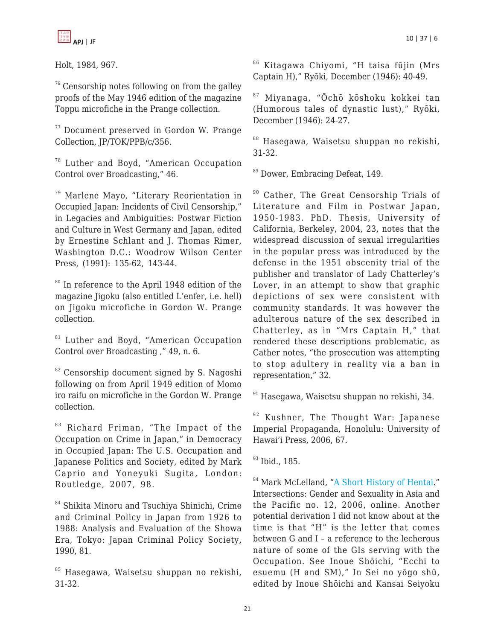

Holt, 1984, 967.

 $76$  Censorship notes following on from the galley proofs of the May 1946 edition of the magazine Toppu microfiche in the Prange collection.

<sup>77</sup> Document preserved in Gordon W. Prange Collection, JP/TOK/PPB/c/356.

<sup>78</sup> Luther and Boyd, "American Occupation Control over Broadcasting," 46.

<sup>79</sup> Marlene Mayo, "Literary Reorientation in Occupied Japan: Incidents of Civil Censorship," in Legacies and Ambiguities: Postwar Fiction and Culture in West Germany and Japan, edited by Ernestine Schlant and J. Thomas Rimer, Washington D.C.: Woodrow Wilson Center Press, (1991): 135-62, 143-44.

<sup>80</sup> In reference to the April 1948 edition of the magazine Jigoku (also entitled L'enfer, i.e. hell) on Jigoku microfiche in Gordon W. Prange collection.

<sup>81</sup> Luther and Boyd, "American Occupation Control over Broadcasting ," 49, n. 6.

 $82$  Censorship document signed by S. Nagoshi following on from April 1949 edition of Momo iro raifu on microfiche in the Gordon W. Prange collection.

<sup>83</sup> Richard Friman, "The Impact of the Occupation on Crime in Japan," in Democracy in Occupied Japan: The U.S. Occupation and Japanese Politics and Society, edited by Mark Caprio and Yoneyuki Sugita, London: Routledge, 2007, 98.

<sup>84</sup> Shikita Minoru and Tsuchiya Shinichi, Crime and Criminal Policy in Japan from 1926 to 1988: Analysis and Evaluation of the Showa Era, Tokyo: Japan Criminal Policy Society, 1990, 81.

<sup>85</sup> Hasegawa, Waisetsu shuppan no rekishi, 31-32.

<sup>86</sup> Kitagawa Chiyomi, "H taisa fūjin (Mrs Captain H)," Ryōki, December (1946): 40-49.

<sup>87</sup> Miyanaga, "Ōchō kōshoku kokkei tan (Humorous tales of dynastic lust)," Ryōki, December (1946): 24-27.

<sup>88</sup> Hasegawa, Waisetsu shuppan no rekishi, 31-32.

<sup>89</sup> Dower, Embracing Defeat, 149.

<sup>90</sup> Cather, The Great Censorship Trials of Literature and Film in Postwar Japan, 1950-1983. PhD. Thesis, University of California, Berkeley, 2004, 23, notes that the widespread discussion of sexual irregularities in the popular press was introduced by the defense in the 1951 obscenity trial of the publisher and translator of Lady Chatterley's Lover, in an attempt to show that graphic depictions of sex were consistent with community standards. It was however the adulterous nature of the sex described in Chatterley, as in "Mrs Captain H," that rendered these descriptions problematic, as Cather notes, "the prosecution was attempting to stop adultery in reality via a ban in representation," 32.

 $91$  Hasegawa, Waisetsu shuppan no rekishi, 34.

<sup>92</sup> Kushner, The Thought War: Japanese Imperial Propaganda, Honolulu: University of Hawai'i Press, 2006, 67.

<sup>93</sup> Ibid., 185.

<sup>94</sup> Mark McLelland, ["A Short History of Hentai](http://intersections.anu.edu.au/issue12_contents.html)." Intersections: Gender and Sexuality in Asia and the Pacific no. 12, 2006, online. Another potential derivation I did not know about at the time is that "H" is the letter that comes between G and I – a reference to the lecherous nature of some of the GIs serving with the Occupation. See Inoue Shōichi, "Ecchi to esuemu (H and SM)," In Sei no yōgo shū, edited by Inoue Shōichi and Kansai Seiyoku